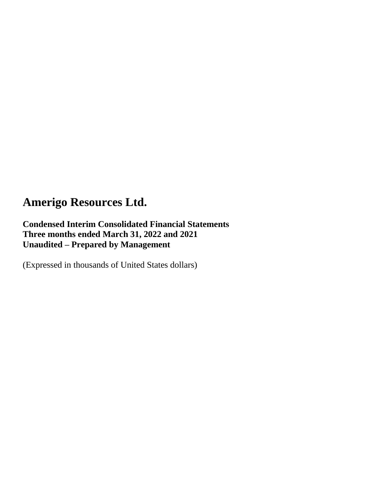**Condensed Interim Consolidated Financial Statements Three months ended March 31, 2022 and 2021 Unaudited – Prepared by Management**

(Expressed in thousands of United States dollars)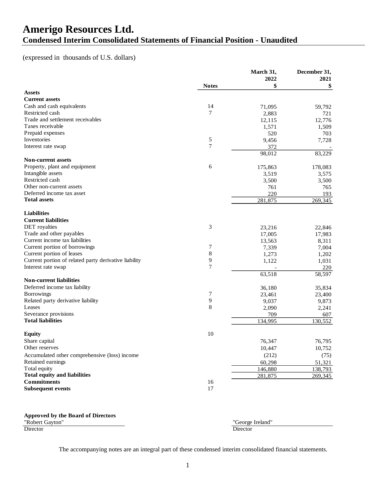### **Amerigo Resources Ltd. Condensed Interim Consolidated Statements of Financial Position - Unaudited**

### (expressed in thousands of U.S. dollars)

|                                                       |                     | March 31, | December 31, |
|-------------------------------------------------------|---------------------|-----------|--------------|
|                                                       |                     | 2022      | 2021         |
|                                                       | <b>Notes</b>        | \$        | \$           |
| <b>Assets</b>                                         |                     |           |              |
| <b>Current assets</b>                                 | 14                  |           |              |
| Cash and cash equivalents<br>Restricted cash          | 7                   | 71,095    | 59,792       |
| Trade and settlement receivables                      |                     | 2,883     | 721          |
| Taxes receivable                                      |                     | 12,115    | 12,776       |
|                                                       |                     | 1,571     | 1,509        |
| Prepaid expenses<br>Inventories                       |                     | 520       | 703          |
|                                                       | 5<br>$\overline{7}$ | 9,456     | 7,728        |
| Interest rate swap                                    |                     | 372       |              |
|                                                       |                     | 98,012    | 83,229       |
| <b>Non-current assets</b>                             |                     |           |              |
| Property, plant and equipment                         | 6                   | 175,863   | 178,083      |
| Intangible assets                                     |                     | 3,519     | 3,575        |
| Restricted cash                                       |                     | 3,500     | 3,500        |
| Other non-current assets                              |                     | 761       | 765          |
| Deferred income tax asset                             |                     | 220       | 193          |
| <b>Total assets</b>                                   |                     | 281,875   | 269,345      |
| <b>Liabilities</b>                                    |                     |           |              |
| <b>Current liabilities</b>                            |                     |           |              |
| <b>DET</b> royalties                                  | 3                   | 23,216    | 22,846       |
| Trade and other payables                              |                     | 17,005    | 17,983       |
| Current income tax liabilities                        |                     | 13,563    | 8,311        |
| Current portion of borrowings                         | 7                   | 7,339     | 7,004        |
| Current portion of leases                             | 8                   | 1,273     | 1,202        |
| Current portion of related party derivative liability | 9                   | 1,122     | 1,031        |
| Interest rate swap                                    | 7                   |           | 220          |
|                                                       |                     | 63,518    | 58,597       |
| <b>Non-current liabilities</b>                        |                     |           |              |
| Deferred income tax liability                         |                     | 36,180    | 35,834       |
| <b>Borrowings</b>                                     | 7                   | 23,461    | 23,400       |
| Related party derivative liability                    | 9                   | 9,037     | 9,873        |
| Leases                                                | 8                   | 2,090     | 2,241        |
| Severance provisions                                  |                     | 709       | 607          |
| <b>Total liabilities</b>                              |                     | 134,995   | 130,552      |
|                                                       |                     |           |              |
| <b>Equity</b>                                         | 10                  |           |              |
| Share capital                                         |                     | 76,347    | 76,795       |
| Other reserves                                        |                     | 10,447    | 10,752       |
| Accumulated other comprehensive (loss) income         |                     | (212)     | (75)         |
| Retained earnings                                     |                     | 60,298    | 51,321       |
| Total equity                                          |                     | 146,880   | 138,793      |
| <b>Total equity and liabilities</b>                   |                     | 281,875   | 269,345      |
| <b>Commitments</b>                                    | 16                  |           |              |
| <b>Subsequent events</b>                              | 17                  |           |              |
|                                                       |                     |           |              |

#### **Approved by the Board of Directors**

"Robert Gayton" "George Ireland" Director Director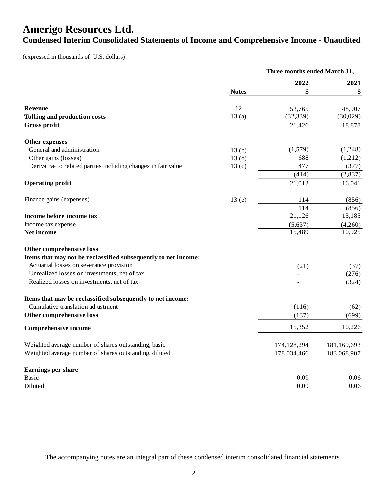## **Amerigo Resources Ltd. Condensed Interim Consolidated Statements of Income and Comprehensive Income - Unaudited**

(expressed in thousands of U.S. dollars)

|                                                                | Three months ended March 31, |             |             |  |
|----------------------------------------------------------------|------------------------------|-------------|-------------|--|
|                                                                |                              | 2022        | 2021        |  |
|                                                                | <b>Notes</b>                 | \$          | \$          |  |
| <b>Revenue</b>                                                 | 12                           | 53,765      | 48,907      |  |
| Tolling and production costs                                   | 13(a)                        | (32, 339)   | (30,029)    |  |
| Gross profit                                                   |                              | 21,426      | 18,878      |  |
| Other expenses                                                 |                              |             |             |  |
| General and administration                                     | 13(b)                        | (1,579)     | (1,248)     |  |
| Other gains (losses)                                           | 13 <sub>(d)</sub>            | 688         | (1,212)     |  |
| Derivative to related parties including changes in fair value  | 13 <sub>(c)</sub>            | 477         | (377)       |  |
|                                                                |                              | (414)       | (2,837)     |  |
| <b>Operating profit</b>                                        |                              | 21,012      | 16,041      |  |
| Finance gains (expenses)                                       | 13(e)                        | 114         | (856)       |  |
|                                                                |                              | 114         | (856)       |  |
| Income before income tax                                       |                              | 21,126      | 15,185      |  |
| Income tax expense                                             |                              | (5,637)     | (4,260)     |  |
| Net income                                                     |                              | 15,489      | 10,925      |  |
| Other comprehensive loss                                       |                              |             |             |  |
| Items that may not be reclassified subsequently to net income: |                              |             |             |  |
| Actuarial losses on severance provision                        |                              | (21)        | (37)        |  |
| Unrealized losses on investments, net of tax                   |                              |             | (276)       |  |
| Realized losses on investments, net of tax                     |                              |             | (324)       |  |
| Items that may be reclassified subsequently to net income:     |                              |             |             |  |
| Cumulative translation adjustment                              |                              | (116)       | (62)        |  |
| Other comprehensive loss                                       |                              | (137)       | (699)       |  |
| Comprehensive income                                           |                              | 15,352      | 10,226      |  |
| Weighted average number of shares outstanding, basic           |                              | 174,128,294 | 181,169,693 |  |
| Weighted average number of shares outstanding, diluted         |                              | 178,034,466 | 183,068,907 |  |
| Earnings per share                                             |                              |             |             |  |
| Basic                                                          |                              | 0.09        | 0.06        |  |
| Diluted                                                        |                              | 0.09        | 0.06        |  |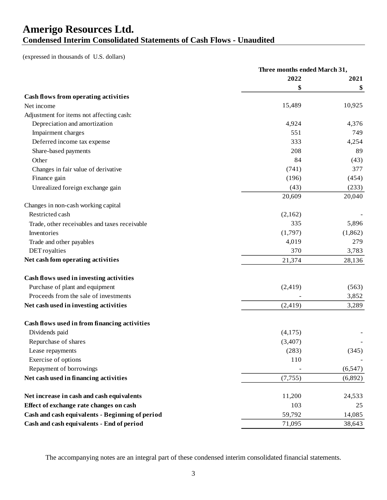## **Amerigo Resources Ltd. Condensed Interim Consolidated Statements of Cash Flows - Unaudited**

(expressed in thousands of U.S. dollars)

|                                                 | Three months ended March 31, |          |
|-------------------------------------------------|------------------------------|----------|
|                                                 | 2022                         | 2021     |
|                                                 | \$                           | \$       |
| Cash flows from operating activities            |                              |          |
| Net income                                      | 15,489                       | 10,925   |
| Adjustment for items not affecting cash:        |                              |          |
| Depreciation and amortization                   | 4,924                        | 4,376    |
| Impairment charges                              | 551                          | 749      |
| Deferred income tax expense                     | 333                          | 4,254    |
| Share-based payments                            | 208                          | 89       |
| Other                                           | 84                           | (43)     |
| Changes in fair value of derivative             | (741)                        | 377      |
| Finance gain                                    | (196)                        | (454)    |
| Unrealized foreign exchange gain                | (43)                         | (233)    |
|                                                 | 20,609                       | 20,040   |
| Changes in non-cash working capital             |                              |          |
| Restricted cash                                 | (2,162)                      |          |
| Trade, other receivables and taxes receivable   | 335                          | 5,896    |
| Inventories                                     | (1,797)                      | (1,862)  |
| Trade and other payables                        | 4,019                        | 279      |
| <b>DET</b> royalties                            | 370                          | 3,783    |
| Net cash fom operating activities               | 21,374                       | 28,136   |
| Cash flows used in investing activities         |                              |          |
| Purchase of plant and equipment                 | (2, 419)                     | (563)    |
| Proceeds from the sale of investments           |                              | 3,852    |
| Net cash used in investing activities           | (2, 419)                     | 3,289    |
| Cash flows used in from financing activities    |                              |          |
| Dividends paid                                  | (4,175)                      |          |
| Repurchase of shares                            | (3,407)                      |          |
| Lease repayments                                | (283)                        | (345)    |
| Exercise of options                             | 110                          |          |
| Repayment of borrowings                         |                              | (6, 547) |
| Net cash used in financing activities           | (7, 755)                     | (6,892)  |
|                                                 |                              |          |
| Net increase in cash and cash equivalents       | 11,200                       | 24,533   |
| Effect of exchange rate changes on cash         | 103                          | 25       |
| Cash and cash equivalents - Beginning of period | 59,792                       | 14,085   |
| Cash and cash equivalents - End of period       | 71,095                       | 38,643   |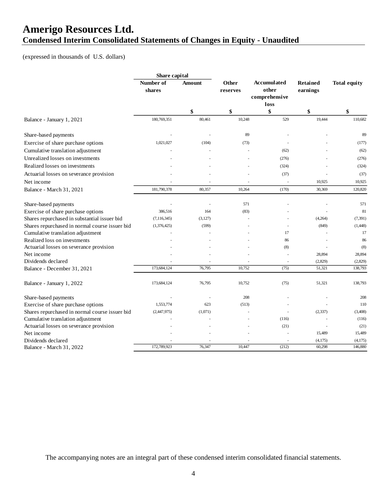## **Amerigo Resources Ltd. Condensed Interim Consolidated Statements of Changes in Equity - Unaudited**

(expressed in thousands of U.S. dollars)

|                                                | Share capital       |              |                   |                                              |                             |                     |
|------------------------------------------------|---------------------|--------------|-------------------|----------------------------------------------|-----------------------------|---------------------|
|                                                | Number of<br>shares | Amount       | Other<br>reserves | <b>Accumulated</b><br>other<br>comprehensive | <b>Retained</b><br>earnings | <b>Total equity</b> |
|                                                |                     |              |                   | loss                                         |                             |                     |
| Balance - January 1, 2021                      | 180,769,351         | \$<br>80,461 | \$<br>10,248      | \$<br>529                                    | \$<br>19,444                | \$<br>110,682       |
| Share-based payments                           |                     |              | 89                |                                              |                             | 89                  |
| Exercise of share purchase options             | 1,021,027           | (104)        | (73)              |                                              |                             | (177)               |
| Cumulative translation adjustment              |                     |              |                   | (62)                                         |                             | (62)                |
| Unrealized losses on investments               |                     |              |                   | (276)                                        |                             | (276)               |
| Realized losses on investments                 |                     |              |                   | (324)                                        |                             | (324)               |
| Actuarial losses on severance provision        |                     |              |                   | (37)                                         |                             | (37)                |
| Net income                                     |                     |              |                   |                                              | 10,925                      | 10,925              |
| Balance - March 31, 2021                       | 181,790,378         | 80,357       | 10,264            | (170)                                        | 30,369                      | 120,820             |
| Share-based payments                           |                     |              | 571               |                                              |                             | 571                 |
| Exercise of share purchase options             | 386,516             | 164          | (83)              |                                              |                             | 81                  |
| Shares repurchased in substantial issuer bid   | (7, 116, 345)       | (3, 127)     |                   |                                              | (4,264)                     | (7, 391)            |
| Shares repurchased in normal course issuer bid | (1,376,425)         | (599)        |                   |                                              | (849)                       | (1,448)             |
| Cumulative translation adjustment              |                     |              |                   | 17                                           |                             | 17                  |
| Realized loss on investments                   |                     |              |                   | 86                                           |                             | 86                  |
| Actuarial losses on severance provision        |                     |              |                   | (8)                                          |                             | (8)                 |
| Net income                                     |                     |              |                   |                                              | 28,894                      | 28,894              |
| Dividends declared                             |                     |              |                   | ÷,                                           | (2,829)                     | (2,829)             |
| Balance - December 31, 2021                    | 173,684,124         | 76,795       | 10,752            | (75)                                         | 51,321                      | 138,793             |
| Balance - January 1, 2022                      | 173,684,124         | 76,795       | 10,752            | (75)                                         | 51,321                      | 138,793             |
| Share-based payments                           |                     |              | 208               |                                              |                             | 208                 |
| Exercise of share purchase options             | 1,553,774           | 623          | (513)             |                                              |                             | 110                 |
| Shares repurchased in normal course issuer bid | (2,447,975)         | (1,071)      |                   | ÷.                                           | (2, 337)                    | (3,408)             |
| Cumulative translation adjustment              |                     |              |                   | (116)                                        |                             | (116)               |
| Actuarial losses on severance provision        |                     |              |                   | (21)                                         |                             | (21)                |
| Net income                                     |                     |              |                   |                                              | 15,489                      | 15,489              |
| Dividends declared                             |                     |              |                   |                                              | (4, 175)                    | (4,175)             |
| Balance - March 31, 2022                       | 172,789,923         | 76,347       | 10,447            | (212)                                        | 60,298                      | 146,880             |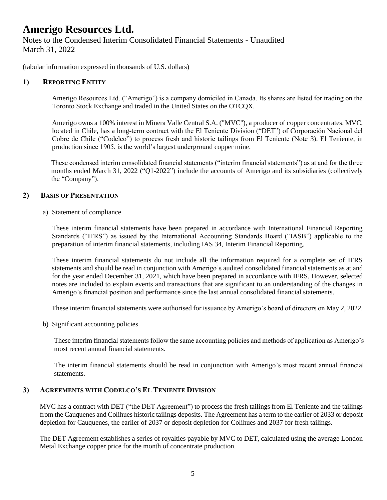Notes to the Condensed Interim Consolidated Financial Statements - Unaudited March 31, 2022

(tabular information expressed in thousands of U.S. dollars)

#### **1) REPORTING ENTITY**

Amerigo Resources Ltd. ("Amerigo") is a company domiciled in Canada. Its shares are listed for trading on the Toronto Stock Exchange and traded in the United States on the OTCQX.

Amerigo owns a 100% interest in Minera Valle Central S.A. ("MVC"), a producer of copper concentrates. MVC, located in Chile, has a long-term contract with the El Teniente Division ("DET") of Corporación Nacional del Cobre de Chile ("Codelco") to process fresh and historic tailings from El Teniente (Note 3). El Teniente, in production since 1905, is the world's largest underground copper mine.

These condensed interim consolidated financial statements ("interim financial statements") as at and for the three months ended March 31, 2022 ("Q1-2022") include the accounts of Amerigo and its subsidiaries (collectively the "Company").

#### **2) BASIS OF PRESENTATION**

a) Statement of compliance

These interim financial statements have been prepared in accordance with International Financial Reporting Standards ("IFRS") as issued by the International Accounting Standards Board ("IASB") applicable to the preparation of interim financial statements, including IAS 34, Interim Financial Reporting.

These interim financial statements do not include all the information required for a complete set of IFRS statements and should be read in conjunction with Amerigo's audited consolidated financial statements as at and for the year ended December 31, 2021, which have been prepared in accordance with IFRS. However, selected notes are included to explain events and transactions that are significant to an understanding of the changes in Amerigo's financial position and performance since the last annual consolidated financial statements.

These interim financial statements were authorised for issuance by Amerigo's board of directors on May 2, 2022.

b) Significant accounting policies

These interim financial statements follow the same accounting policies and methods of application as Amerigo's most recent annual financial statements.

The interim financial statements should be read in conjunction with Amerigo's most recent annual financial statements.

### **3) AGREEMENTS WITH CODELCO'S EL TENIENTE DIVISION**

MVC has a contract with DET ("the DET Agreement") to process the fresh tailings from El Teniente and the tailings from the Cauquenes and Colihues historic tailings deposits. The Agreement has a term to the earlier of 2033 or deposit depletion for Cauquenes, the earlier of 2037 or deposit depletion for Colihues and 2037 for fresh tailings.

The DET Agreement establishes a series of royalties payable by MVC to DET, calculated using the average London Metal Exchange copper price for the month of concentrate production.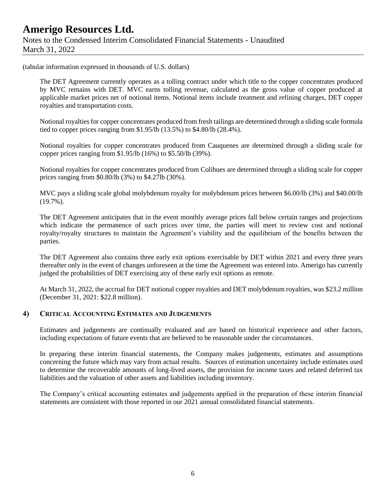### **Amerigo Resources Ltd.** Notes to the Condensed Interim Consolidated Financial Statements - Unaudited March 31, 2022

(tabular information expressed in thousands of U.S. dollars)

The DET Agreement currently operates as a tolling contract under which title to the copper concentrates produced by MVC remains with DET. MVC earns tolling revenue, calculated as the gross value of copper produced at applicable market prices net of notional items. Notional items include treatment and refining charges, DET copper royalties and transportation costs.

Notional royalties for copper concentrates produced from fresh tailings are determined through a sliding scale formula tied to copper prices ranging from \$1.95/lb (13.5%) to \$4.80/lb (28.4%).

Notional royalties for copper concentrates produced from Cauquenes are determined through a sliding scale for copper prices ranging from \$1.95/lb (16%) to \$5.50/lb (39%).

Notional royalties for copper concentrates produced from Colihues are determined through a sliding scale for copper prices ranging from \$0.80/lb (3%) to \$4.27lb (30%).

MVC pays a sliding scale global molybdenum royalty for molybdenum prices between \$6.00/lb (3%) and \$40.00/lb (19.7%).

The DET Agreement anticipates that in the event monthly average prices fall below certain ranges and projections which indicate the permanence of such prices over time, the parties will meet to review cost and notional royalty/royalty structures to maintain the Agreement's viability and the equilibrium of the benefits between the parties.

The DET Agreement also contains three early exit options exercisable by DET within 2021 and every three years thereafter only in the event of changes unforeseen at the time the Agreement was entered into. Amerigo has currently judged the probabilities of DET exercising any of these early exit options as remote.

At March 31, 2022, the accrual for DET notional copper royalties and DET molybdenum royalties, was \$23.2 million (December 31, 2021: \$22.8 million).

#### **4) CRITICAL ACCOUNTING ESTIMATES AND JUDGEMENTS**

Estimates and judgements are continually evaluated and are based on historical experience and other factors, including expectations of future events that are believed to be reasonable under the circumstances.

In preparing these interim financial statements, the Company makes judgements, estimates and assumptions concerning the future which may vary from actual results. Sources of estimation uncertainty include estimates used to determine the recoverable amounts of long-lived assets, the provision for income taxes and related deferred tax liabilities and the valuation of other assets and liabilities including inventory.

The Company's critical accounting estimates and judgements applied in the preparation of these interim financial statements are consistent with those reported in our 2021 annual consolidated financial statements.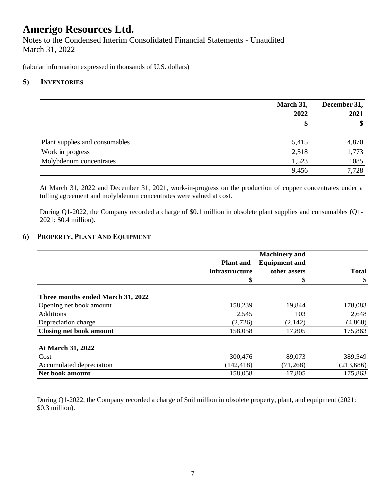Notes to the Condensed Interim Consolidated Financial Statements - Unaudited March 31, 2022

(tabular information expressed in thousands of U.S. dollars)

#### **5) INVENTORIES**

|                                | March 31, | December 31,<br>2021<br>\$ |
|--------------------------------|-----------|----------------------------|
|                                | 2022      |                            |
|                                | \$        |                            |
| Plant supplies and consumables | 5,415     | 4,870                      |
| Work in progress               | 2,518     | 1,773                      |
| Molybdenum concentrates        | 1,523     | 1085                       |
|                                | 9,456     | 7,728                      |

At March 31, 2022 and December 31, 2021, work-in-progress on the production of copper concentrates under a tolling agreement and molybdenum concentrates were valued at cost.

During Q1-2022, the Company recorded a charge of \$0.1 million in obsolete plant supplies and consumables (Q1- 2021: \$0.4 million).

#### **6) PROPERTY, PLANT AND EQUIPMENT**

|                                   |                  | <b>Machinery</b> and |              |
|-----------------------------------|------------------|----------------------|--------------|
|                                   | <b>Plant</b> and | <b>Equipment and</b> |              |
|                                   | infrastructure   | other assets         | <b>Total</b> |
|                                   | \$               | \$                   | \$           |
| Three months ended March 31, 2022 |                  |                      |              |
| Opening net book amount           | 158,239          | 19,844               | 178,083      |
| <b>Additions</b>                  | 2,545            | 103                  | 2,648        |
| Depreciation charge               | (2,726)          | (2,142)              | (4, 868)     |
| <b>Closing net book amount</b>    | 158,058          | 17,805               | 175,863      |
| At March 31, 2022                 |                  |                      |              |
| Cost                              | 300,476          | 89,073               | 389,549      |
| Accumulated depreciation          | (142, 418)       | (71,268)             | (213, 686)   |
| <b>Net book amount</b>            | 158,058          | 17,805               | 175,863      |

During Q1-2022, the Company recorded a charge of \$nil million in obsolete property, plant, and equipment (2021: \$0.3 million).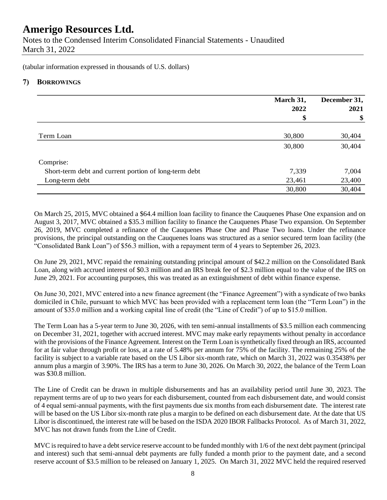Notes to the Condensed Interim Consolidated Financial Statements - Unaudited March 31, 2022

(tabular information expressed in thousands of U.S. dollars)

#### **7) BORROWINGS**

|                                                       | March 31,<br>2022 | December 31,<br>2021 |  |
|-------------------------------------------------------|-------------------|----------------------|--|
|                                                       | \$                | \$                   |  |
| Term Loan                                             | 30,800            | 30,404               |  |
|                                                       | 30,800            | 30,404               |  |
| Comprise:                                             |                   |                      |  |
| Short-term debt and current portion of long-term debt | 7,339             | 7,004                |  |
| Long-term debt                                        | 23,461            | 23,400               |  |
|                                                       | 30,800            | 30,404               |  |

On March 25, 2015, MVC obtained a \$64.4 million loan facility to finance the Cauquenes Phase One expansion and on August 3, 2017, MVC obtained a \$35.3 million facility to finance the Cauquenes Phase Two expansion. On September 26, 2019, MVC completed a refinance of the Cauquenes Phase One and Phase Two loans. Under the refinance provisions, the principal outstanding on the Cauquenes loans was structured as a senior secured term loan facility (the "Consolidated Bank Loan") of \$56.3 million, with a repayment term of 4 years to September 26, 2023.

On June 29, 2021, MVC repaid the remaining outstanding principal amount of \$42.2 million on the Consolidated Bank Loan, along with accrued interest of \$0.3 million and an IRS break fee of \$2.3 million equal to the value of the IRS on June 29, 2021. For accounting purposes, this was treated as an extinguishment of debt within finance expense.

On June 30, 2021, MVC entered into a new finance agreement (the "Finance Agreement") with a syndicate of two banks domiciled in Chile, pursuant to which MVC has been provided with a replacement term loan (the "Term Loan") in the amount of \$35.0 million and a working capital line of credit (the "Line of Credit") of up to \$15.0 million.

The Term Loan has a 5-year term to June 30, 2026, with ten semi-annual installments of \$3.5 million each commencing on December 31, 2021, together with accrued interest. MVC may make early repayments without penalty in accordance with the provisions of the Finance Agreement. Interest on the Term Loan is synthetically fixed through an IRS, accounted for at fair value through profit or loss, at a rate of 5.48% per annum for 75% of the facility. The remaining 25% of the facility is subject to a variable rate based on the US Libor six-month rate, which on March 31, 2022 was 0.35438% per annum plus a margin of 3.90%. The IRS has a term to June 30, 2026. On March 30, 2022, the balance of the Term Loan was \$30.8 million.

The Line of Credit can be drawn in multiple disbursements and has an availability period until June 30, 2023. The repayment terms are of up to two years for each disbursement, counted from each disbursement date, and would consist of 4 equal semi-annual payments, with the first payments due six months from each disbursement date. The interest rate will be based on the US Libor six-month rate plus a margin to be defined on each disbursement date. At the date that US Libor is discontinued, the interest rate will be based on the ISDA 2020 IBOR Fallbacks Protocol. As of March 31, 2022, MVC has not drawn funds from the Line of Credit.

MVC is required to have a debt service reserve account to be funded monthly with 1/6 of the next debt payment (principal and interest) such that semi-annual debt payments are fully funded a month prior to the payment date, and a second reserve account of \$3.5 million to be released on January 1, 2025. On March 31, 2022 MVC held the required reserved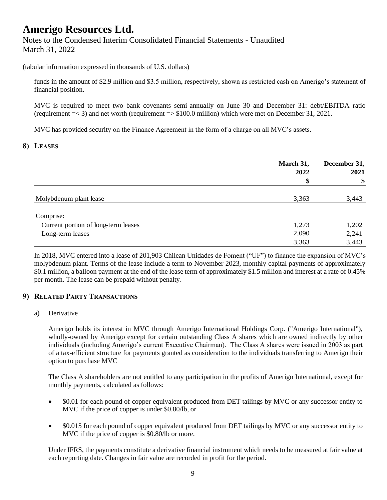### **Amerigo Resources Ltd.** Notes to the Condensed Interim Consolidated Financial Statements - Unaudited March 31, 2022

(tabular information expressed in thousands of U.S. dollars)

funds in the amount of \$2.9 million and \$3.5 million, respectively, shown as restricted cash on Amerigo's statement of financial position.

MVC is required to meet two bank covenants semi-annually on June 30 and December 31: debt/EBITDA ratio (requirement =< 3) and net worth (requirement => \$100.0 million) which were met on December 31, 2021.

MVC has provided security on the Finance Agreement in the form of a charge on all MVC's assets.

#### **8) LEASES**

|                                     | March 31,<br>2022 | December 31,<br>2021<br>\$ |
|-------------------------------------|-------------------|----------------------------|
|                                     | \$                |                            |
| Molybdenum plant lease              | 3,363             | 3,443                      |
| Comprise:                           |                   |                            |
| Current portion of long-term leases | 1,273             | 1,202                      |
| Long-term leases                    | 2,090             | 2,241                      |
|                                     | 3,363             | 3,443                      |

In 2018, MVC entered into a lease of 201,903 Chilean Unidades de Foment ("UF") to finance the expansion of MVC's molybdenum plant. Terms of the lease include a term to November 2023, monthly capital payments of approximately \$0.1 million, a balloon payment at the end of the lease term of approximately \$1.5 million and interest at a rate of 0.45% per month. The lease can be prepaid without penalty.

#### **9) RELATED PARTY TRANSACTIONS**

a) Derivative

Amerigo holds its interest in MVC through Amerigo International Holdings Corp. ("Amerigo International"), wholly-owned by Amerigo except for certain outstanding Class A shares which are owned indirectly by other individuals (including Amerigo's current Executive Chairman). The Class A shares were issued in 2003 as part of a tax-efficient structure for payments granted as consideration to the individuals transferring to Amerigo their option to purchase MVC

The Class A shareholders are not entitled to any participation in the profits of Amerigo International, except for monthly payments, calculated as follows:

- \$0.01 for each pound of copper equivalent produced from DET tailings by MVC or any successor entity to MVC if the price of copper is under \$0.80/lb, or
- \$0.015 for each pound of copper equivalent produced from DET tailings by MVC or any successor entity to MVC if the price of copper is \$0.80/lb or more.

Under IFRS, the payments constitute a derivative financial instrument which needs to be measured at fair value at each reporting date. Changes in fair value are recorded in profit for the period.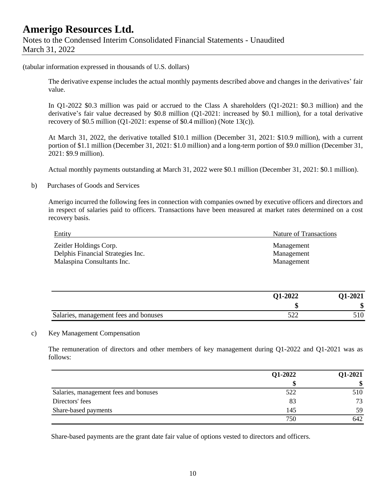#### (tabular information expressed in thousands of U.S. dollars)

The derivative expense includes the actual monthly payments described above and changes in the derivatives' fair value.

In Q1-2022 \$0.3 million was paid or accrued to the Class A shareholders (Q1-2021: \$0.3 million) and the derivative's fair value decreased by \$0.8 million (Q1-2021: increased by \$0.1 million), for a total derivative recovery of \$0.5 million (Q1-2021: expense of \$0.4 million) (Note 13(c)).

At March 31, 2022, the derivative totalled \$10.1 million (December 31, 2021: \$10.9 million), with a current portion of \$1.1 million (December 31, 2021: \$1.0 million) and a long-term portion of \$9.0 million (December 31, 2021: \$9.9 million).

Actual monthly payments outstanding at March 31, 2022 were \$0.1 million (December 31, 2021: \$0.1 million).

b) Purchases of Goods and Services

Amerigo incurred the following fees in connection with companies owned by executive officers and directors and in respect of salaries paid to officers. Transactions have been measured at market rates determined on a cost recovery basis.

| Entity                                                                                    | Nature of Transactions                 |  |
|-------------------------------------------------------------------------------------------|----------------------------------------|--|
| Zeitler Holdings Corp.<br>Delphis Financial Strategies Inc.<br>Malaspina Consultants Inc. | Management<br>Management<br>Management |  |
|                                                                                           |                                        |  |

|                                       | <b>Q1-2022</b> | <b>O1-2021</b> |
|---------------------------------------|----------------|----------------|
|                                       |                | ₼<br>۰D        |
| Salaries, management fees and bonuses | - 22<br>ے بے ر | 510            |

#### c) Key Management Compensation

The remuneration of directors and other members of key management during Q1-2022 and Q1-2021 was as follows:

|                                       | Q1-2022 | Q1-2021 |
|---------------------------------------|---------|---------|
|                                       |         |         |
| Salaries, management fees and bonuses | 522     | 510     |
| Directors' fees                       | 83      | 73      |
| Share-based payments                  | 145     | 59      |
|                                       | 750     | 642     |

Share-based payments are the grant date fair value of options vested to directors and officers.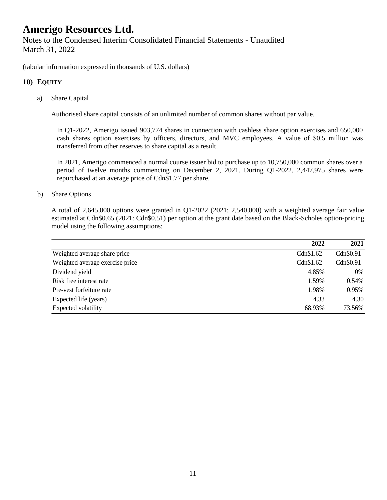(tabular information expressed in thousands of U.S. dollars)

#### **10) EQUITY**

a) Share Capital

Authorised share capital consists of an unlimited number of common shares without par value.

In Q1-2022, Amerigo issued 903,774 shares in connection with cashless share option exercises and 650,000 cash shares option exercises by officers, directors, and MVC employees. A value of \$0.5 million was transferred from other reserves to share capital as a result.

In 2021, Amerigo commenced a normal course issuer bid to purchase up to 10,750,000 common shares over a period of twelve months commencing on December 2, 2021. During Q1-2022, 2,447,975 shares were repurchased at an average price of Cdn\$1.77 per share.

#### b) Share Options

A total of 2,645,000 options were granted in Q1-2022 (2021: 2,540,000) with a weighted average fair value estimated at Cdn\$0.65 (2021: Cdn\$0.51) per option at the grant date based on the Black-Scholes option-pricing model using the following assumptions:

|                                 | 2022      | 2021      |
|---------------------------------|-----------|-----------|
| Weighted average share price    | Cdn\$1.62 | Cdn\$0.91 |
| Weighted average exercise price | Cdn\$1.62 | Cdn\$0.91 |
| Dividend yield                  | 4.85%     | $0\%$     |
| Risk free interest rate         | 1.59%     | 0.54%     |
| Pre-vest forfeiture rate        | 1.98%     | 0.95%     |
| Expected life (years)           | 4.33      | 4.30      |
| Expected volatility             | 68.93%    | 73.56%    |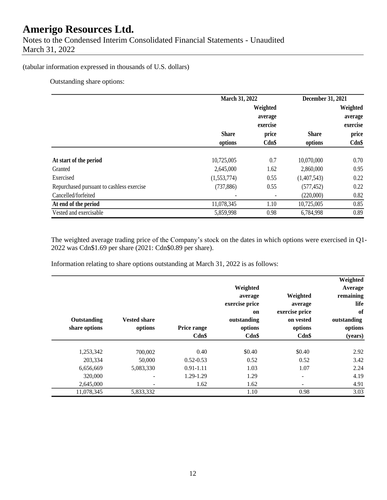#### (tabular information expressed in thousands of U.S. dollars)

Outstanding share options:

|                                           | March 31, 2022 |          | December 31, 2021 |          |
|-------------------------------------------|----------------|----------|-------------------|----------|
|                                           |                | Weighted |                   | Weighted |
|                                           |                | average  |                   | average  |
|                                           |                | exercise |                   | exercise |
|                                           | <b>Share</b>   | price    | <b>Share</b>      | price    |
|                                           | options        | Cdn\$    | options           | $Cdn$ \$ |
| At start of the period                    | 10,725,005     | 0.7      | 10,070,000        | 0.70     |
| Granted                                   | 2,645,000      | 1.62     | 2,860,000         | 0.95     |
| Exercised                                 | (1,553,774)    | 0.55     | (1,407,543)       | 0.22     |
| Repurchased pursuant to cashless exercise | (737, 886)     | 0.55     | (577, 452)        | 0.22     |
| Cancelled/forfeited                       |                |          | (220,000)         | 0.82     |
| At end of the period                      | 11,078,345     | 1.10     | 10,725,005        | 0.85     |
| Vested and exercisable                    | 5,859,998      | 0.98     | 6,784,998         | 0.89     |

The weighted average trading price of the Company's stock on the dates in which options were exercised in Q1- 2022 was Cdn\$1.69 per share (2021: Cdn\$0.89 per share).

Information relating to share options outstanding at March 31, 2022 is as follows:

| Weighted<br>Average<br>remaining<br>life<br>of<br>outstanding<br>options<br>(years) | Weighted<br>average<br>exercise price<br>on vested<br>options<br>$Cdn$ \$ | Weighted<br>average<br>exercise price<br>on<br>outstanding<br>options<br>Cdn\$ | Price range<br>$Cdn$ \$ | <b>Vested share</b><br>options | Outstanding<br>share options |
|-------------------------------------------------------------------------------------|---------------------------------------------------------------------------|--------------------------------------------------------------------------------|-------------------------|--------------------------------|------------------------------|
| 2.92                                                                                | \$0.40                                                                    | \$0.40                                                                         | 0.40                    | 700,002                        | 1,253,342                    |
| 3.42                                                                                | 0.52                                                                      | 0.52                                                                           | $0.52 - 0.53$           | 50,000                         | 203,334                      |
| 2.24                                                                                | 1.07                                                                      | 1.03                                                                           | $0.91 - 1.11$           | 5,083,330                      | 6,656,669                    |
| 4.19                                                                                | -                                                                         | 1.29                                                                           | 1.29-1.29               | $\overline{\phantom{0}}$       | 320,000                      |
| 4.91                                                                                | -                                                                         | 1.62                                                                           | 1.62                    | $\qquad \qquad$                | 2,645,000                    |
| 3.03                                                                                | 0.98                                                                      | 1.10                                                                           |                         | 5,833,332                      | 11,078,345                   |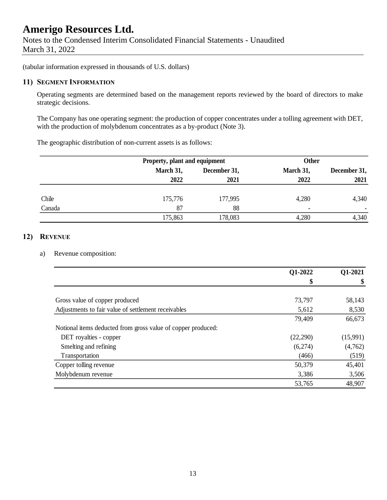Notes to the Condensed Interim Consolidated Financial Statements - Unaudited March 31, 2022

(tabular information expressed in thousands of U.S. dollars)

### **11) SEGMENT INFORMATION**

Operating segments are determined based on the management reports reviewed by the board of directors to make strategic decisions.

The Company has one operating segment: the production of copper concentrates under a tolling agreement with DET, with the production of molybdenum concentrates as a by-product (Note 3).

The geographic distribution of non-current assets is as follows:

|        |           | Property, plant and equipment |                          | <b>Other</b> |  |
|--------|-----------|-------------------------------|--------------------------|--------------|--|
|        | March 31, | December 31,                  |                          | December 31, |  |
|        | 2022      | 2021                          | 2022                     | 2021         |  |
| Chile  | 175,776   | 177,995                       | 4,280                    | 4,340        |  |
| Canada | 87        | 88                            | $\overline{\phantom{0}}$ |              |  |
|        | 175,863   | 178,083                       | 4,280                    | 4,340        |  |

### **12) REVENUE**

#### a) Revenue composition:

|                                                              | Q1-2022   | Q1-2021  |
|--------------------------------------------------------------|-----------|----------|
|                                                              | \$        |          |
|                                                              |           |          |
| Gross value of copper produced                               | 73,797    | 58,143   |
| Adjustments to fair value of settlement receivables          | 5,612     | 8,530    |
|                                                              | 79,409    | 66,673   |
| Notional items deducted from gross value of copper produced: |           |          |
| DET royalties - copper                                       | (22, 290) | (15,991) |
| Smelting and refining                                        | (6,274)   | (4,762)  |
| Transportation                                               | (466)     | (519)    |
| Copper tolling revenue                                       | 50,379    | 45,401   |
| Molybdenum revenue                                           | 3,386     | 3,506    |
|                                                              | 53,765    | 48,907   |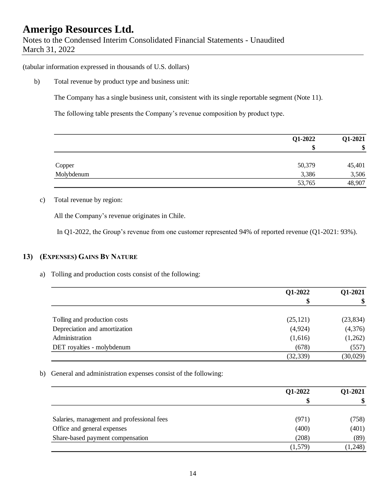(tabular information expressed in thousands of U.S. dollars)

b) Total revenue by product type and business unit:

The Company has a single business unit, consistent with its single reportable segment (Note 11).

The following table presents the Company's revenue composition by product type.

|            | Q1-2022 | Q1-2021 |
|------------|---------|---------|
|            | \$      | \$      |
|            |         |         |
| Copper     | 50,379  | 45,401  |
| Molybdenum | 3,386   | 3,506   |
|            | 53,765  | 48,907  |

### c) Total revenue by region:

All the Company's revenue originates in Chile.

In Q1-2022, the Group's revenue from one customer represented 94% of reported revenue (Q1-2021: 93%).

### **13) (EXPENSES) GAINS BY NATURE**

a) Tolling and production costs consist of the following:

|                               | Q1-2022   | Q1-2021   |
|-------------------------------|-----------|-----------|
|                               | \$        | \$        |
| Tolling and production costs  | (25, 121) | (23, 834) |
| Depreciation and amortization | (4,924)   | (4,376)   |
| Administration                | (1,616)   | (1,262)   |
| DET royalties - molybdenum    | (678)     | (557)     |
|                               | (32, 339) | (30,029)  |

b) General and administration expenses consist of the following:

|                                            | Q1-2022 | Q1-2021  |
|--------------------------------------------|---------|----------|
|                                            |         | \$       |
| Salaries, management and professional fees | (971)   | (758)    |
| Office and general expenses                | (400)   | (401)    |
| Share-based payment compensation           | (208)   | (89)     |
|                                            | (1,579) | (1, 248) |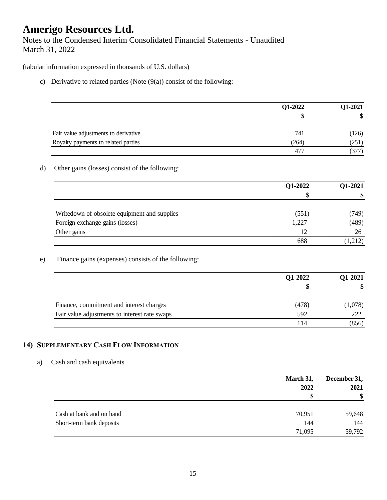Notes to the Condensed Interim Consolidated Financial Statements - Unaudited March 31, 2022

(tabular information expressed in thousands of U.S. dollars)

c) Derivative to related parties (Note  $(9(a))$  consist of the following:

|                                                     | Q1-2022 | Q1-2021   |
|-----------------------------------------------------|---------|-----------|
|                                                     | \$      | \$        |
|                                                     |         |           |
| Fair value adjustments to derivative                | 741     | (126)     |
| Royalty payments to related parties                 | (264)   | (251)     |
|                                                     | 477     | (377)     |
| Other gains (losses) consist of the following:      |         |           |
|                                                     | Q1-2022 | $Q1-2021$ |
|                                                     | S       | \$        |
| Writedown of obsolete equipment and supplies        | (551)   | (749)     |
| Foreign exchange gains (losses)                     | 1,227   | (489)     |
| Other gains                                         | 12      | 26        |
|                                                     | 688     | (1,212)   |
| Finance gains (expenses) consists of the following: |         |           |
|                                                     | Q1-2022 | Q1-2021   |
|                                                     | \$      | \$        |

| Finance, commitment and interest charges      | (478) | (1,078) |
|-----------------------------------------------|-------|---------|
| Fair value adjustments to interest rate swaps | 592   |         |
|                                               |       | (856)   |

### **14) SUPPLEMENTARY CASH FLOW INFORMATION**

### a) Cash and cash equivalents

|                          | March 31, | December 31, |  |
|--------------------------|-----------|--------------|--|
|                          | 2022      | 2021         |  |
|                          | S         | \$           |  |
| Cash at bank and on hand | 70,951    | 59,648       |  |
| Short-term bank deposits | 144       | 144          |  |
|                          | 71,095    | 59,792       |  |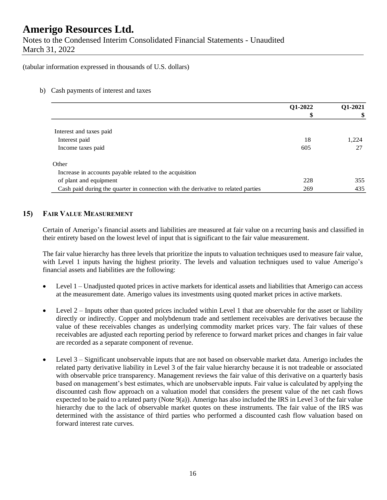Notes to the Condensed Interim Consolidated Financial Statements - Unaudited March 31, 2022

#### (tabular information expressed in thousands of U.S. dollars)

#### b) Cash payments of interest and taxes

|                                                                                   | Q1-2022 | Q1-2021 |
|-----------------------------------------------------------------------------------|---------|---------|
|                                                                                   | \$      | \$      |
|                                                                                   |         |         |
| Interest and taxes paid                                                           |         |         |
| Interest paid                                                                     | 18      | 1,224   |
| Income taxes paid                                                                 | 605     | 27      |
| Other                                                                             |         |         |
| Increase in accounts payable related to the acquisition                           |         |         |
| of plant and equipment                                                            | 228     | 355     |
| Cash paid during the quarter in connection with the derivative to related parties | 269     | 435     |

#### **15) FAIR VALUE MEASUREMENT**

Certain of Amerigo's financial assets and liabilities are measured at fair value on a recurring basis and classified in their entirety based on the lowest level of input that is significant to the fair value measurement.

The fair value hierarchy has three levels that prioritize the inputs to valuation techniques used to measure fair value, with Level 1 inputs having the highest priority. The levels and valuation techniques used to value Amerigo's financial assets and liabilities are the following:

- Level 1 Unadjusted quoted prices in active markets for identical assets and liabilities that Amerigo can access at the measurement date. Amerigo values its investments using quoted market prices in active markets.
- Level  $2$  Inputs other than quoted prices included within Level 1 that are observable for the asset or liability directly or indirectly. Copper and molybdenum trade and settlement receivables are derivatives because the value of these receivables changes as underlying commodity market prices vary. The fair values of these receivables are adjusted each reporting period by reference to forward market prices and changes in fair value are recorded as a separate component of revenue.
- Level 3 Significant unobservable inputs that are not based on observable market data. Amerigo includes the related party derivative liability in Level 3 of the fair value hierarchy because it is not tradeable or associated with observable price transparency. Management reviews the fair value of this derivative on a quarterly basis based on management's best estimates, which are unobservable inputs. Fair value is calculated by applying the discounted cash flow approach on a valuation model that considers the present value of the net cash flows expected to be paid to a related party (Note 9(a)). Amerigo has also included the IRS in Level 3 of the fair value hierarchy due to the lack of observable market quotes on these instruments. The fair value of the IRS was determined with the assistance of third parties who performed a discounted cash flow valuation based on forward interest rate curves.